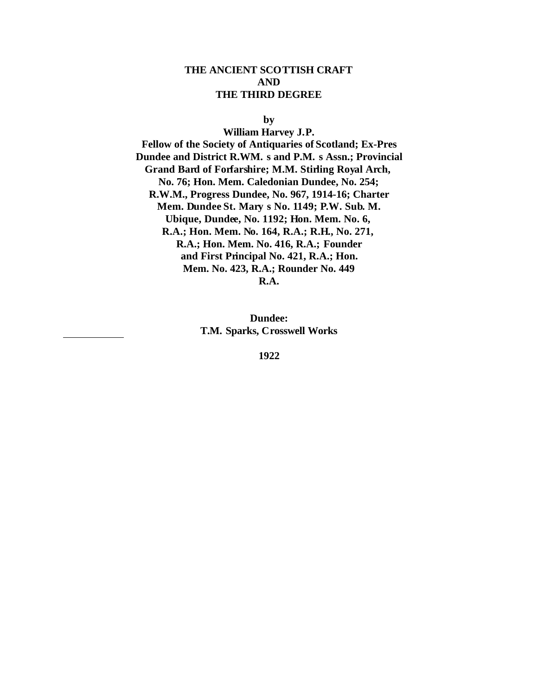### **THE ANCIENT SCOTTISH CRAFT AND THE THIRD DEGREE**

**by**

**William Harvey J.P. Fellow of the Society of Antiquaries of Scotland; Ex-Pres Dundee and District R.WM. s and P.M. s Assn.; Provincial Grand Bard of Forfarshire; M.M. Stirling Royal Arch, No. 76; Hon. Mem. Caledonian Dundee, No. 254; R.W.M., Progress Dundee, No. 967, 1914-16; Charter Mem. Dundee St. Mary s No. 1149; P.W. Sub. M. Ubique, Dundee, No. 1192; Hon. Mem. No. 6, R.A.; Hon. Mem. No. 164, R.A.; R.H., No. 271, R.A.; Hon. Mem. No. 416, R.A.; Founder and First Principal No. 421, R.A.; Hon. Mem. No. 423, R.A.; Rounder No. 449 R.A.**

> **Dundee: T.M. Sparks, Crosswell Works**

> > **1922**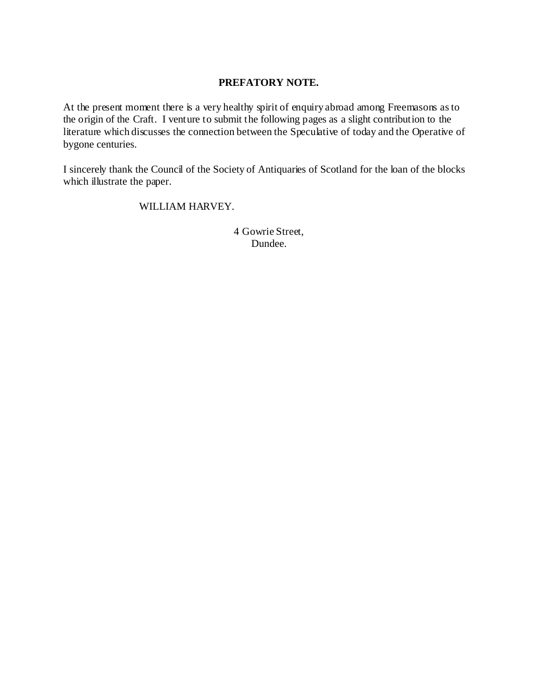# **PREFATORY NOTE.**

At the present moment there is a very healthy spirit of enquiry abroad among Freemasons as to the origin of the Craft. I venture to submit the following pages as a slight contribution to the literature which discusses the connection between the Speculative of today and the Operative of bygone centuries.

I sincerely thank the Council of the Society of Antiquaries of Scotland for the loan of the blocks which illustrate the paper.

# WILLIAM HARVEY.

4 Gowrie Street, Dundee.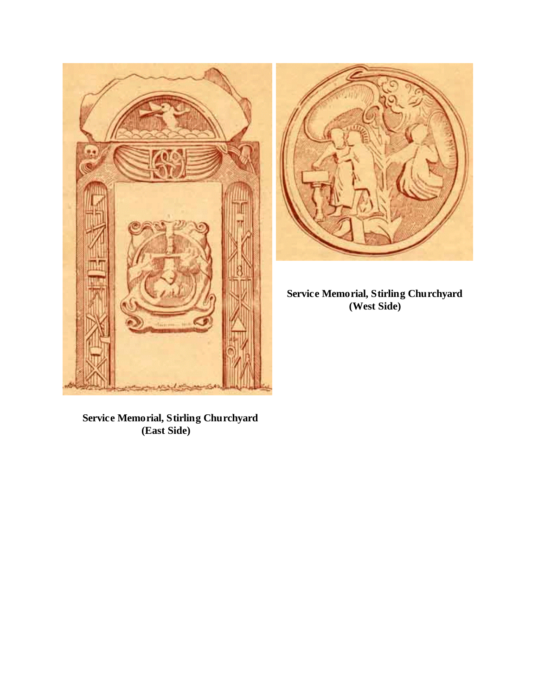



**Service Memorial, Stirling Churchyard (West Side)**

 **Service Memorial, Stirling Churchyard (East Side)**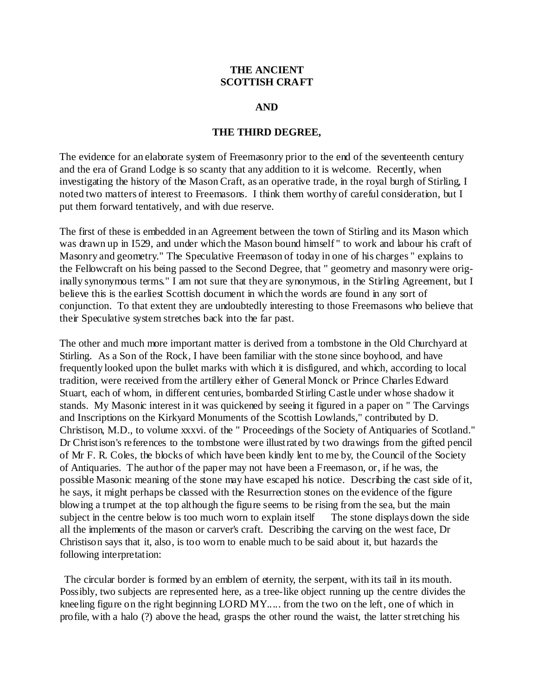## **THE ANCIENT SCOTTISH CRAFT**

#### **AND**

#### **THE THIRD DEGREE,**

The evidence for an elaborate system of Freemasonry prior to the end of the seventeenth century and the era of Grand Lodge is so scanty that any addition to it is welcome. Recently, when investigating the history of the Mason Craft, as an operative trade, in the royal burgh of Stirling, I noted two matters of interest to Freemasons. I think them worthy of careful consideration, but I put them forward tentatively, and with due reserve.

The first of these is embedded in an Agreement between the town of Stirling and its Mason which was drawn up in I529, and under which the Mason bound himself " to work and labour his craft of Masonry and geometry." The Speculative Freemason of today in one of his charges " explains to the Fellowcraft on his being passed to the Second Degree, that " geometry and masonry were originally synonymous terms." I am not sure that they are synonymous, in the Stirling Agreement, but I believe this is the earliest Scottish document in which the words are found in any sort of conjunction. To that extent they are undoubtedly interesting to those Freemasons who believe that their Speculative system stretches back into the far past.

The other and much more important matter is derived from a tombstone in the Old Churchyard at Stirling. As a Son of the Rock, I have been familiar with the stone since boyhood, and have frequently looked upon the bullet marks with which it is disfigured, and which, according to local tradition, were received from the artillery either of General Monck or Prince Charles Edward Stuart, each of whom, in different centuries, bombarded Stirling Castle under whose shadow it stands. My Masonic interest in it was quickened by seeing it figured in a paper on " The Carvings and Inscriptions on the Kirkyard Monuments of the Scottish Lowlands," contributed by D. Christison, M.D., to volume xxxvi. of the " Proceedings of the Society of Antiquaries of Scotland." Dr Christison's references to the tombstone were illustrated by two drawings from the gifted pencil of Mr F. R. Coles, the blocks of which have been kindly lent to me by, the Council of the Society of Antiquaries. The author of the paper may not have been a Freemason, or, if he was, the possible Masonic meaning of the stone may have escaped his notice. Describing the cast side of it, he says, it might perhaps be classed with the Resurrection stones on the evidence of the figure blowing a trumpet at the top although the figure seems to be rising from the sea, but the main subject in the centre below is too much worn to explain itself The stone displays down the side all the implements of the mason or carver's craft. Describing the carving on the west face, Dr Christison says that it, also, is too worn to enable much to be said about it, but hazards the following interpretation:

 The circular border is formed by an emblem of eternity, the serpent, with its tail in its mouth. Possibly, two subjects are represented here, as a tree-like object running up the centre divides the kneeling figure on the right beginning LORD MY..... from the two on the left, one of which in profile, with a halo (?) above the head, grasps the other round the waist, the latter stretching his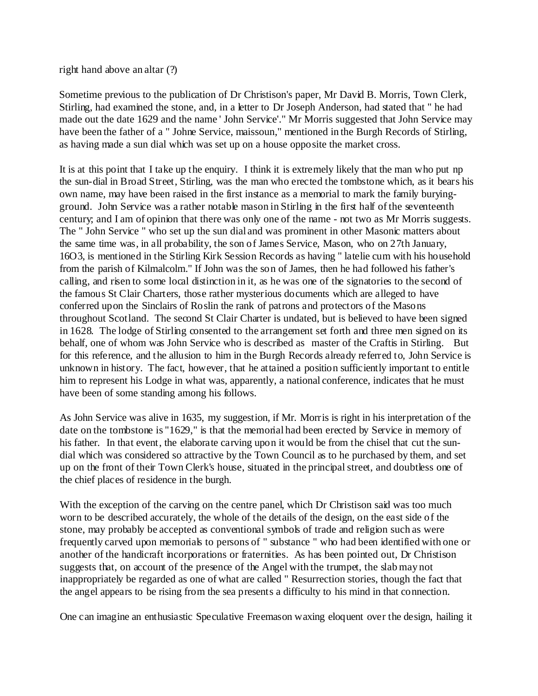### right hand above an altar (?)

Sometime previous to the publication of Dr Christison's paper, Mr David B. Morris, Town Clerk, Stirling, had examined the stone, and, in a letter to Dr Joseph Anderson, had stated that " he had made out the date 1629 and the name ' John Service'." Mr Morris suggested that John Service may have been the father of a " Johne Service, maissoun," mentioned in the Burgh Records of Stirling, as having made a sun dial which was set up on a house opposite the market cross.

It is at this point that I take up the enquiry. I think it is extremely likely that the man who put np the sun-dial in Broad Street, Stirling, was the man who erected the tombstone which, as it bears his own name, may have been raised in the first instance as a memorial to mark the family buryingground. John Service was a rather notable mason in Stirling in the first half of the seventeenth century; and I am of opinion that there was only one of the name - not two as Mr Morris suggests. The " John Service " who set up the sun dial and was prominent in other Masonic matters about the same time was, in all probability, the son of James Service, Mason, who on 27th January, 16O3, is mentioned in the Stirling Kirk Session Records as having " latelie cum with his household from the parish of Kilmalcolm." If John was the son of James, then he had followed his father's calling, and risen to some local distinction in it, as he was one of the signatories to the second of the famous St Clair Charters, those rather mysterious documents which are alleged to have conferred upon the Sinclairs of Roslin the rank of patrons and protectors of the Masons throughout Scotland. The second St Clair Charter is undated, but is believed to have been signed in 1628. The lodge of Stirling consented to the arrangement set forth and three men signed on its behalf, one of whom was John Service who is described as master of the Craftis in Stirling. But for this reference, and the allusion to him in the Burgh Records already referred to, John Service is unknown in history. The fact, however, that he attained a position sufficiently important to entitle him to represent his Lodge in what was, apparently, a national conference, indicates that he must have been of some standing among his follows.

As John Service was alive in 1635, my suggestion, if Mr. Morris is right in his interpretation of the date on the tombstone is "1629," is that the memorial had been erected by Service in memory of his father. In that event, the elaborate carving upon it would be from the chisel that cut the sundial which was considered so attractive by the Town Council as to he purchased by them, and set up on the front of their Town Clerk's house, situated in the principal street, and doubtless one of the chief places of residence in the burgh.

With the exception of the carving on the centre panel, which Dr Christison said was too much worn to be described accurately, the whole of the details of the design, on the east side of the stone, may probably be accepted as conventional symbols of trade and religion such as were frequently carved upon memorials to persons of " substance " who had been identified with one or another of the handicraft incorporations or fraternities. As has been pointed out, Dr Christison suggests that, on account of the presence of the Angel with the trumpet, the slab may not inappropriately be regarded as one of what are called " Resurrection stories, though the fact that the angel appears to be rising from the sea presents a difficulty to his mind in that connection.

One can imagine an enthusiastic Speculative Freemason waxing eloquent over the design, hailing it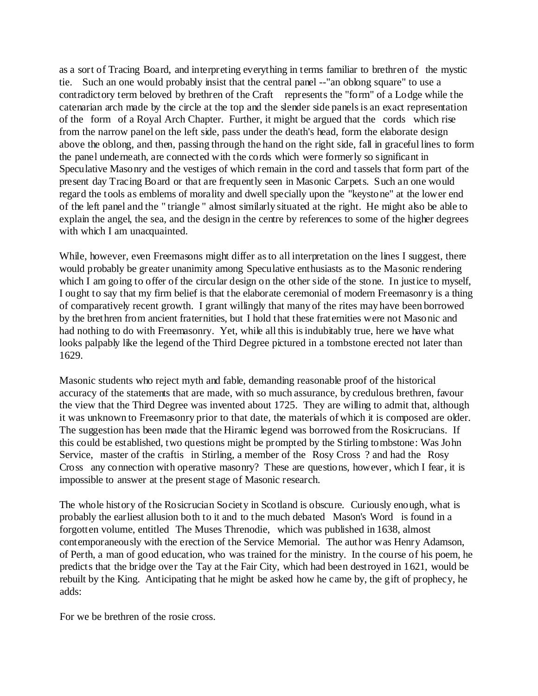as a sort of Tracing Board, and interpreting everything in terms familiar to brethren of the mystic tie. Such an one would probably insist that the central panel --"an oblong square" to use a contradictory term beloved by brethren of the Craft represents the "form" of a Lodge while the catenarian arch made by the circle at the top and the slender side panels is an exact representation of the form of a Royal Arch Chapter. Further, it might be argued that the cords which rise from the narrow panel on the left side, pass under the death's head, form the elaborate design above the oblong, and then, passing through the hand on the right side, fall in graceful lines to form the panel underneath, are connected with the cords which were formerly so significant in Speculative Masonry and the vestiges of which remain in the cord and tassels that form part of the present day Tracing Board or that are frequently seen in Masonic Carpets. Such an one would regard the tools as emblems of morality and dwell specially upon the "keystone" at the lower end of the left panel and the " triangle " almost similarly situated at the right. He might also be able to explain the angel, the sea, and the design in the centre by references to some of the higher degrees with which I am unacquainted.

While, however, even Freemasons might differ as to all interpretation on the lines I suggest, there would probably be greater unanimity among Speculative enthusiasts as to the Masonic rendering which I am going to offer of the circular design on the other side of the stone. In justice to myself, I ought to say that my firm belief is that the elaborate ceremonial of modern Freemasonry is a thing of comparatively recent growth. I grant willingly that many of the rites may have been borrowed by the brethren from ancient fraternities, but I hold that these fraternities were not Masonic and had nothing to do with Freemasonry. Yet, while all this is indubitably true, here we have what looks palpably like the legend of the Third Degree pictured in a tombstone erected not later than 1629.

Masonic students who reject myth and fable, demanding reasonable proof of the historical accuracy of the statements that are made, with so much assurance, by credulous brethren, favour the view that the Third Degree was invented about 1725. They are willing to admit that, although it was unknown to Freemasonry prior to that date, the materials of which it is composed are older. The suggestion has been made that the Hiramic legend was borrowed from the Rosicrucians. If this could be established, two questions might be prompted by the Stirling tombstone: Was John Service, master of the craftis in Stirling, a member of the Rosy Cross ? and had the Rosy Cross any connection with operative masonry? These are questions, however, which I fear, it is impossible to answer at the present stage of Masonic research.

The whole history of the Rosicrucian Society in Scotland is obscure. Curiously enough, what is probably the earliest allusion both to it and to the much debated Mason's Word is found in a forgotten volume, entitled The Muses Threnodie, which was published in 1638, almost contemporaneously with the erection of the Service Memorial. The author was Henry Adamson, of Perth, a man of good education, who was trained for the ministry. In the course of his poem, he predicts that the bridge over the Tay at the Fair City, which had been destroyed in 1621, would be rebuilt by the King. Anticipating that he might be asked how he came by, the gift of prophecy, he adds:

For we be brethren of the rosie cross.